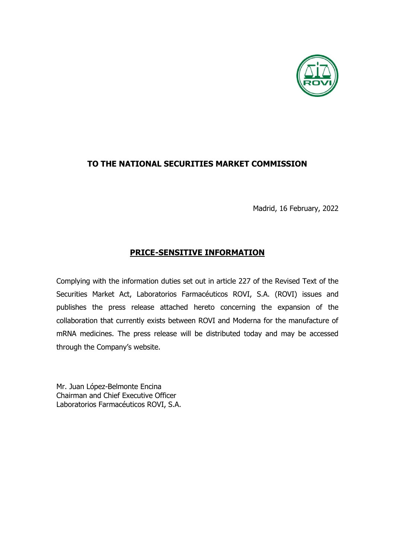

# **TO THE NATIONAL SECURITIES MARKET COMMISSION**

Madrid, 16 February, 2022

# **PRICE-SENSITIVE INFORMATION**

Complying with the information duties set out in article 227 of the Revised Text of the Securities Market Act, Laboratorios Farmacéuticos ROVI, S.A. (ROVI) issues and publishes the press release attached hereto concerning the expansion of the collaboration that currently exists between ROVI and Moderna for the manufacture of mRNA medicines. The press release will be distributed today and may be accessed through the Company's website.

Mr. Juan López-Belmonte Encina Chairman and Chief Executive Officer Laboratorios Farmacéuticos ROVI, S.A.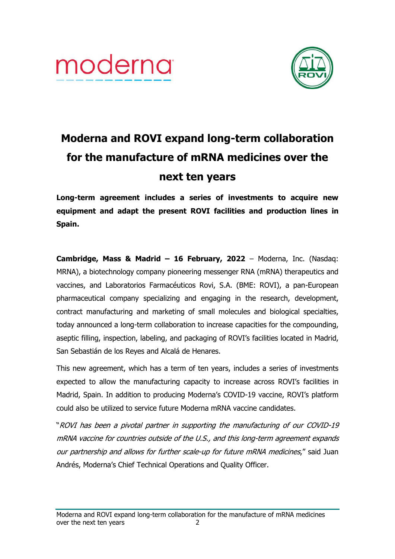



# **Moderna and ROVI expand long-term collaboration for the manufacture of mRNA medicines over the next ten years**

**Long-term agreement includes a series of investments to acquire new equipment and adapt the present ROVI facilities and production lines in Spain.**

**Cambridge, Mass & Madrid – 16 February, 2022** – Moderna, Inc. (Nasdaq: MRNA), a biotechnology company pioneering messenger RNA (mRNA) therapeutics and vaccines, and Laboratorios Farmacéuticos Rovi, S.A. (BME: ROVI), a pan-European pharmaceutical company specializing and engaging in the research, development, contract manufacturing and marketing of small molecules and biological specialties, today announced a long-term collaboration to increase capacities for the compounding, aseptic filling, inspection, labeling, and packaging of ROVI's facilities located in Madrid, San Sebastián de los Reyes and Alcalá de Henares.

This new agreement, which has a term of ten years, includes a series of investments expected to allow the manufacturing capacity to increase across ROVI's facilities in Madrid, Spain. In addition to producing Moderna's COVID-19 vaccine, ROVI's platform could also be utilized to service future Moderna mRNA vaccine candidates.

"ROVI has been a pivotal partner in supporting the manufacturing of our COVID-19 mRNA vaccine for countries outside of the U.S., and this long-term agreement expands our partnership and allows for further scale-up for future mRNA medicines," said Juan Andrés, Moderna's Chief Technical Operations and Quality Officer.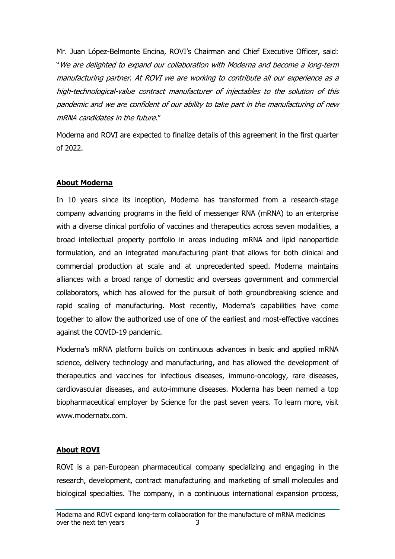Mr. Juan López-Belmonte Encina, ROVI's Chairman and Chief Executive Officer, said: "We are delighted to expand our collaboration with Moderna and become a long-term manufacturing partner. At ROVI we are working to contribute all our experience as a high-technological-value contract manufacturer of injectables to the solution of this pandemic and we are confident of our ability to take part in the manufacturing of new mRNA candidates in the future."

Moderna and ROVI are expected to finalize details of this agreement in the first quarter of 2022.

## **About Moderna**

In 10 years since its inception, Moderna has transformed from a research-stage company advancing programs in the field of messenger RNA (mRNA) to an enterprise with a diverse clinical portfolio of vaccines and therapeutics across seven modalities, a broad intellectual property portfolio in areas including mRNA and lipid nanoparticle formulation, and an integrated manufacturing plant that allows for both clinical and commercial production at scale and at unprecedented speed. Moderna maintains alliances with a broad range of domestic and overseas government and commercial collaborators, which has allowed for the pursuit of both groundbreaking science and rapid scaling of manufacturing. Most recently, Moderna's capabilities have come together to allow the authorized use of one of the earliest and most-effective vaccines against the COVID-19 pandemic.

Moderna's mRNA platform builds on continuous advances in basic and applied mRNA science, delivery technology and manufacturing, and has allowed the development of therapeutics and vaccines for infectious diseases, immuno-oncology, rare diseases, cardiovascular diseases, and auto-immune diseases. Moderna has been named a top biopharmaceutical employer by Science for the past seven years. To learn more, visit www.modernatx.com.

# **About ROVI**

ROVI is a pan-European pharmaceutical company specializing and engaging in the research, development, contract manufacturing and marketing of small molecules and biological specialties. The company, in a continuous international expansion process,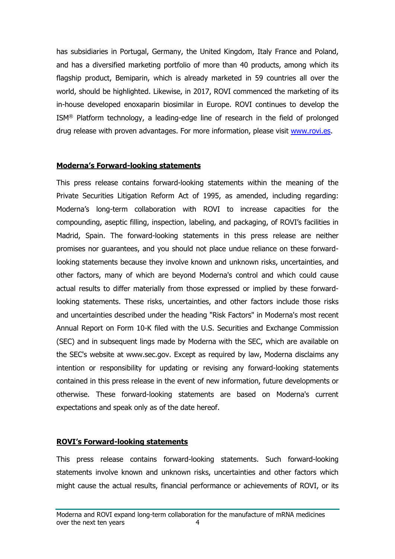has subsidiaries in Portugal, Germany, the United Kingdom, Italy France and Poland, and has a diversified marketing portfolio of more than 40 products, among which its flagship product, Bemiparin, which is already marketed in 59 countries all over the world, should be highlighted. Likewise, in 2017, ROVI commenced the marketing of its in-house developed enoxaparin biosimilar in Europe. ROVI continues to develop the ISM® Platform technology, a leading-edge line of research in the field of prolonged drug release with proven advantages. For more information, please visit [www.rovi.es.](http://www.rovi.es/)

### **Moderna's Forward-looking statements**

This press release contains forward-looking statements within the meaning of the Private Securities Litigation Reform Act of 1995, as amended, including regarding: Moderna's long-term collaboration with ROVI to increase capacities for the compounding, aseptic filling, inspection, labeling, and packaging, of ROVI's facilities in Madrid, Spain. The forward-looking statements in this press release are neither promises nor guarantees, and you should not place undue reliance on these forwardlooking statements because they involve known and unknown risks, uncertainties, and other factors, many of which are beyond Moderna's control and which could cause actual results to differ materially from those expressed or implied by these forwardlooking statements. These risks, uncertainties, and other factors include those risks and uncertainties described under the heading "Risk Factors" in Moderna's most recent Annual Report on Form 10-K filed with the U.S. Securities and Exchange Commission (SEC) and in subsequent lings made by Moderna with the SEC, which are available on the SEC's website at www.sec.gov. Except as required by law, Moderna disclaims any intention or responsibility for updating or revising any forward-looking statements contained in this press release in the event of new information, future developments or otherwise. These forward-looking statements are based on Moderna's current expectations and speak only as of the date hereof.

### **ROVI's Forward-looking statements**

This press release contains forward-looking statements. Such forward-looking statements involve known and unknown risks, uncertainties and other factors which might cause the actual results, financial performance or achievements of ROVI, or its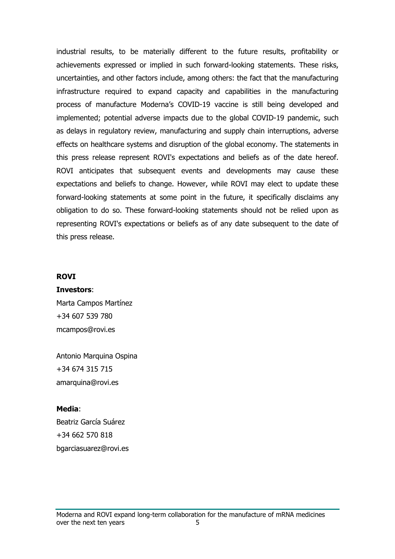industrial results, to be materially different to the future results, profitability or achievements expressed or implied in such forward-looking statements. These risks, uncertainties, and other factors include, among others: the fact that the manufacturing infrastructure required to expand capacity and capabilities in the manufacturing process of manufacture Moderna's COVID-19 vaccine is still being developed and implemented; potential adverse impacts due to the global COVID-19 pandemic, such as delays in regulatory review, manufacturing and supply chain interruptions, adverse effects on healthcare systems and disruption of the global economy. The statements in this press release represent ROVI's expectations and beliefs as of the date hereof. ROVI anticipates that subsequent events and developments may cause these expectations and beliefs to change. However, while ROVI may elect to update these forward-looking statements at some point in the future, it specifically disclaims any obligation to do so. These forward-looking statements should not be relied upon as representing ROVI's expectations or beliefs as of any date subsequent to the date of this press release.

#### **ROVI**

#### **Investors**:

Marta Campos Martínez +34 607 539 780 mcampos@rovi.es

Antonio Marquina Ospina +34 674 315 715 amarquina@rovi.es

#### **Media**:

Beatriz García Suárez +34 662 570 818 bgarciasuarez@rovi.es